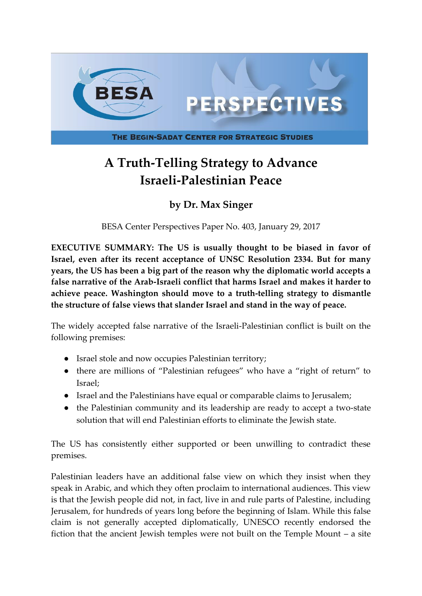

# **A Truth-Telling Strategy to Advance Israeli-Palestinian Peace**

# **by Dr. Max Singer**

BESA Center Perspectives Paper No. 403, January 29, 2017

**EXECUTIVE SUMMARY: The US is usually thought to be biased in favor of Israel, even after its recent acceptance of UNSC Resolution 2334. But for many years, the US has been a big part of the reason why the diplomatic world accepts a false narrative of the Arab-Israeli conflict that harms Israel and makes it harder to achieve peace. Washington should move to a truth-telling strategy to dismantle the structure of false views that slander Israel and stand in the way of peace.**

The widely accepted false narrative of the Israeli-Palestinian conflict is built on the following premises:

- Israel stole and now occupies Palestinian territory;
- there are millions of "Palestinian refugees" who have a "right of return" to Israel;
- Israel and the Palestinians have equal or comparable claims to Jerusalem;
- the Palestinian community and its leadership are ready to accept a two-state solution that will end Palestinian efforts to eliminate the Jewish state.

The US has consistently either supported or been unwilling to contradict these premises.

Palestinian leaders have an additional false view on which they insist when they speak in Arabic, and which they often proclaim to international audiences. This view is that the Jewish people did not, in fact, live in and rule parts of Palestine, including Jerusalem, for hundreds of years long before the beginning of Islam. While this false claim is not generally accepted diplomatically, UNESCO recently endorsed the fiction that the ancient Jewish temples were not built on the Temple Mount – a site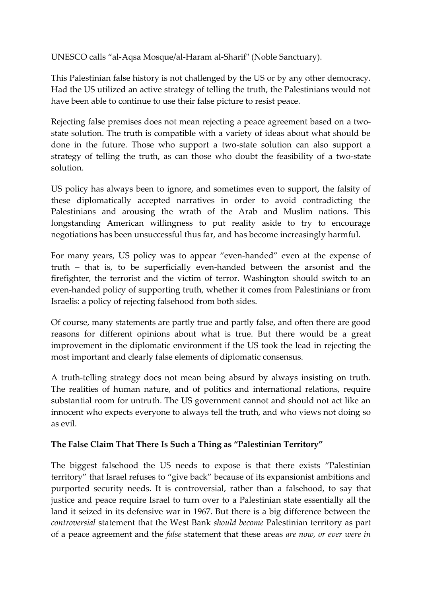UNESCO calls "al-Aqsa Mosque/al-Haram al-Sharif" (Noble Sanctuary).

This Palestinian false history is not challenged by the US or by any other democracy. Had the US utilized an active strategy of telling the truth, the Palestinians would not have been able to continue to use their false picture to resist peace.

Rejecting false premises does not mean rejecting a peace agreement based on a twostate solution. The truth is compatible with a variety of ideas about what should be done in the future. Those who support a two-state solution can also support a strategy of telling the truth, as can those who doubt the feasibility of a two-state solution.

US policy has always been to ignore, and sometimes even to support, the falsity of these diplomatically accepted narratives in order to avoid contradicting the Palestinians and arousing the wrath of the Arab and Muslim nations. This longstanding American willingness to put reality aside to try to encourage negotiations has been unsuccessful thus far, and has become increasingly harmful.

For many years, US policy was to appear "even-handed" even at the expense of truth – that is, to be superficially even-handed between the arsonist and the firefighter, the terrorist and the victim of terror. Washington should switch to an even-handed policy of supporting truth, whether it comes from Palestinians or from Israelis: a policy of rejecting falsehood from both sides.

Of course, many statements are partly true and partly false, and often there are good reasons for different opinions about what is true. But there would be a great improvement in the diplomatic environment if the US took the lead in rejecting the most important and clearly false elements of diplomatic consensus.

A truth-telling strategy does not mean being absurd by always insisting on truth. The realities of human nature, and of politics and international relations, require substantial room for untruth. The US government cannot and should not act like an innocent who expects everyone to always tell the truth, and who views not doing so as evil.

#### **The False Claim That There Is Such a Thing as "Palestinian Territory"**

The biggest falsehood the US needs to expose is that there exists "Palestinian territory" that Israel refuses to "give back" because of its expansionist ambitions and purported security needs. It is controversial, rather than a falsehood, to say that justice and peace require Israel to turn over to a Palestinian state essentially all the land it seized in its defensive war in 1967. But there is a big difference between the *controversial* statement that the West Bank *should become* Palestinian territory as part of a peace agreement and the *false* statement that these areas *are now, or ever were in*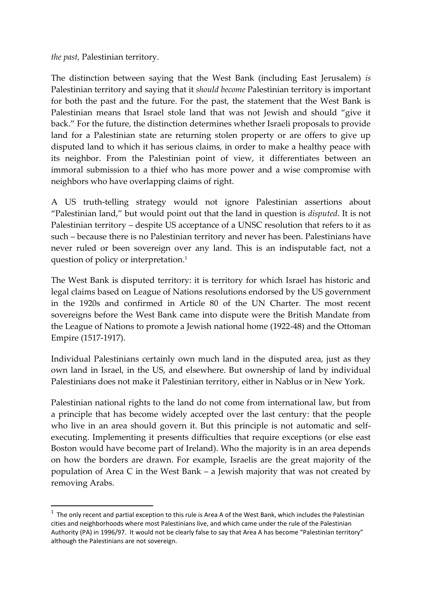*the past,* Palestinian territory.

**.** 

The distinction between saying that the West Bank (including East Jerusalem) *is* Palestinian territory and saying that it *should become* Palestinian territory is important for both the past and the future. For the past, the statement that the West Bank is Palestinian means that Israel stole land that was not Jewish and should "give it back." For the future, the distinction determines whether Israeli proposals to provide land for a Palestinian state are returning stolen property or are offers to give up disputed land to which it has serious claims, in order to make a healthy peace with its neighbor. From the Palestinian point of view, it differentiates between an immoral submission to a thief who has more power and a wise compromise with neighbors who have overlapping claims of right.

A US truth-telling strategy would not ignore Palestinian assertions about "Palestinian land," but would point out that the land in question is *disputed*. It is not Palestinian territory – despite US acceptance of a UNSC resolution that refers to it as such – because there is no Palestinian territory and never has been. Palestinians have never ruled or been sovereign over any land. This is an indisputable fact, not a question of policy or interpretation.<sup>1</sup>

The West Bank is disputed territory: it is territory for which Israel has historic and legal claims based on League of Nations resolutions endorsed by the US government in the 1920s and confirmed in Article 80 of the UN Charter. The most recent sovereigns before the West Bank came into dispute were the British Mandate from the League of Nations to promote a Jewish national home (1922-48) and the Ottoman Empire (1517-1917).

Individual Palestinians certainly own much land in the disputed area, just as they own land in Israel, in the US, and elsewhere. But ownership of land by individual Palestinians does not make it Palestinian territory, either in Nablus or in New York.

Palestinian national rights to the land do not come from international law, but from a principle that has become widely accepted over the last century: that the people who live in an area should govern it. But this principle is not automatic and selfexecuting. Implementing it presents difficulties that require exceptions (or else east Boston would have become part of Ireland). Who the majority is in an area depends on how the borders are drawn. For example, Israelis are the great majority of the population of Area C in the West Bank – a Jewish majority that was not created by removing Arabs.

 $1$  The only recent and partial exception to this rule is Area A of the West Bank, which includes the Palestinian cities and neighborhoods where most Palestinians live, and which came under the rule of the Palestinian Authority (PA) in 1996/97. It would not be clearly false to say that Area A has become "Palestinian territory" although the Palestinians are not sovereign.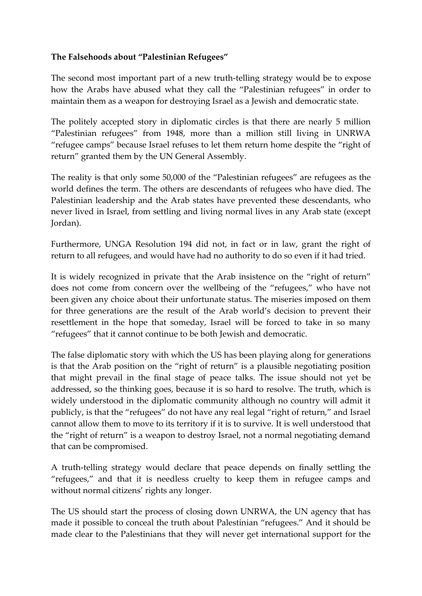### **The Falsehoods about "Palestinian Refugees"**

The second most important part of a new truth-telling strategy would be to expose how the Arabs have abused what they call the "Palestinian refugees" in order to maintain them as a weapon for destroying Israel as a Jewish and democratic state.

The politely accepted story in diplomatic circles is that there are nearly 5 million "Palestinian refugees" from 1948, more than a million still living in UNRWA "refugee camps" because Israel refuses to let them return home despite the "right of return" granted them by the UN General Assembly.

The reality is that only some 50,000 of the "Palestinian refugees" are refugees as the world defines the term. The others are descendants of refugees who have died. The Palestinian leadership and the Arab states have prevented these descendants, who never lived in Israel, from settling and living normal lives in any Arab state (except Jordan).

Furthermore, UNGA Resolution 194 did not, in fact or in law, grant the right of return to all refugees, and would have had no authority to do so even if it had tried.

It is widely recognized in private that the Arab insistence on the "right of return" does not come from concern over the wellbeing of the "refugees," who have not been given any choice about their unfortunate status. The miseries imposed on them for three generations are the result of the Arab world's decision to prevent their resettlement in the hope that someday, Israel will be forced to take in so many "refugees" that it cannot continue to be both Jewish and democratic.

The false diplomatic story with which the US has been playing along for generations is that the Arab position on the "right of return" is a plausible negotiating position that might prevail in the final stage of peace talks. The issue should not yet be addressed, so the thinking goes, because it is so hard to resolve. The truth, which is widely understood in the diplomatic community although no country will admit it publicly, is that the "refugees" do not have any real legal "right of return," and Israel cannot allow them to move to its territory if it is to survive. It is well understood that the "right of return" is a weapon to destroy Israel, not a normal negotiating demand that can be compromised.

A truth-telling strategy would declare that peace depends on finally settling the "refugees," and that it is needless cruelty to keep them in refugee camps and without normal citizens' rights any longer.

The US should start the process of closing down UNRWA, the UN agency that has made it possible to conceal the truth about Palestinian "refugees." And it should be made clear to the Palestinians that they will never get international support for the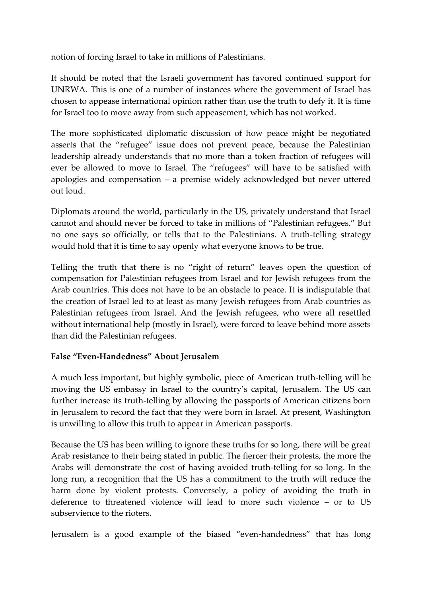notion of forcing Israel to take in millions of Palestinians.

It should be noted that the Israeli government has favored continued support for UNRWA. This is one of a number of instances where the government of Israel has chosen to appease international opinion rather than use the truth to defy it. It is time for Israel too to move away from such appeasement, which has not worked.

The more sophisticated diplomatic discussion of how peace might be negotiated asserts that the "refugee" issue does not prevent peace, because the Palestinian leadership already understands that no more than a token fraction of refugees will ever be allowed to move to Israel. The "refugees" will have to be satisfied with apologies and compensation – a premise widely acknowledged but never uttered out loud.

Diplomats around the world, particularly in the US, privately understand that Israel cannot and should never be forced to take in millions of "Palestinian refugees." But no one says so officially, or tells that to the Palestinians. A truth-telling strategy would hold that it is time to say openly what everyone knows to be true.

Telling the truth that there is no "right of return" leaves open the question of compensation for Palestinian refugees from Israel and for Jewish refugees from the Arab countries. This does not have to be an obstacle to peace. It is indisputable that the creation of Israel led to at least as many Jewish refugees from Arab countries as Palestinian refugees from Israel. And the Jewish refugees, who were all resettled without international help (mostly in Israel), were forced to leave behind more assets than did the Palestinian refugees.

# **False "Even-Handedness" About Jerusalem**

A much less important, but highly symbolic, piece of American truth-telling will be moving the US embassy in Israel to the country's capital, Jerusalem. The US can further increase its truth-telling by allowing the passports of American citizens born in Jerusalem to record the fact that they were born in Israel. At present, Washington is unwilling to allow this truth to appear in American passports.

Because the US has been willing to ignore these truths for so long, there will be great Arab resistance to their being stated in public. The fiercer their protests, the more the Arabs will demonstrate the cost of having avoided truth-telling for so long. In the long run, a recognition that the US has a commitment to the truth will reduce the harm done by violent protests. Conversely, a policy of avoiding the truth in deference to threatened violence will lead to more such violence – or to US subservience to the rioters.

Jerusalem is a good example of the biased "even-handedness" that has long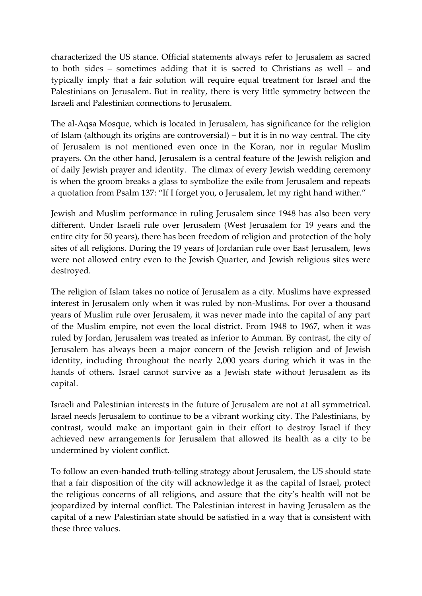characterized the US stance. Official statements always refer to Jerusalem as sacred to both sides – sometimes adding that it is sacred to Christians as well – and typically imply that a fair solution will require equal treatment for Israel and the Palestinians on Jerusalem. But in reality, there is very little symmetry between the Israeli and Palestinian connections to Jerusalem.

The al-Aqsa Mosque, which is located in Jerusalem, has significance for the religion of Islam (although its origins are controversial) – but it is in no way central. The city of Jerusalem is not mentioned even once in the Koran, nor in regular Muslim prayers. On the other hand, Jerusalem is a central feature of the Jewish religion and of daily Jewish prayer and identity. The climax of every Jewish wedding ceremony is when the groom breaks a glass to symbolize the exile from Jerusalem and repeats a quotation from Psalm 137: "If I forget you, o Jerusalem, let my right hand wither."

Jewish and Muslim performance in ruling Jerusalem since 1948 has also been very different. Under Israeli rule over Jerusalem (West Jerusalem for 19 years and the entire city for 50 years), there has been freedom of religion and protection of the holy sites of all religions. During the 19 years of Jordanian rule over East Jerusalem, Jews were not allowed entry even to the Jewish Quarter, and Jewish religious sites were destroyed.

The religion of Islam takes no notice of Jerusalem as a city. Muslims have expressed interest in Jerusalem only when it was ruled by non-Muslims. For over a thousand years of Muslim rule over Jerusalem, it was never made into the capital of any part of the Muslim empire, not even the local district. From 1948 to 1967, when it was ruled by Jordan, Jerusalem was treated as inferior to Amman. By contrast, the city of Jerusalem has always been a major concern of the Jewish religion and of Jewish identity, including throughout the nearly 2,000 years during which it was in the hands of others. Israel cannot survive as a Jewish state without Jerusalem as its capital.

Israeli and Palestinian interests in the future of Jerusalem are not at all symmetrical. Israel needs Jerusalem to continue to be a vibrant working city. The Palestinians, by contrast, would make an important gain in their effort to destroy Israel if they achieved new arrangements for Jerusalem that allowed its health as a city to be undermined by violent conflict.

To follow an even-handed truth-telling strategy about Jerusalem, the US should state that a fair disposition of the city will acknowledge it as the capital of Israel, protect the religious concerns of all religions, and assure that the city's health will not be jeopardized by internal conflict. The Palestinian interest in having Jerusalem as the capital of a new Palestinian state should be satisfied in a way that is consistent with these three values.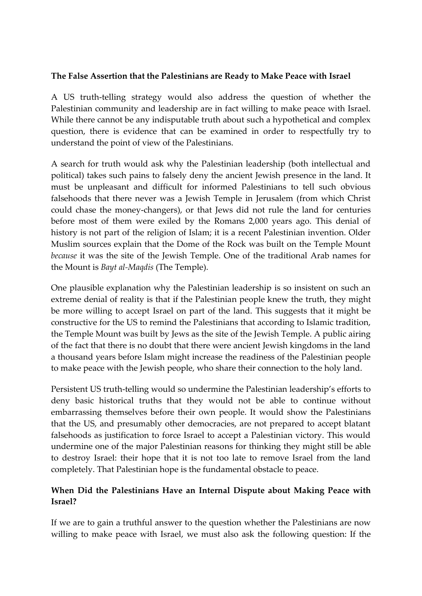#### **The False Assertion that the Palestinians are Ready to Make Peace with Israel**

A US truth-telling strategy would also address the question of whether the Palestinian community and leadership are in fact willing to make peace with Israel. While there cannot be any indisputable truth about such a hypothetical and complex question, there is evidence that can be examined in order to respectfully try to understand the point of view of the Palestinians.

A search for truth would ask why the Palestinian leadership (both intellectual and political) takes such pains to falsely deny the ancient Jewish presence in the land. It must be unpleasant and difficult for informed Palestinians to tell such obvious falsehoods that there never was a Jewish Temple in Jerusalem (from which Christ could chase the money-changers), or that Jews did not rule the land for centuries before most of them were exiled by the Romans 2,000 years ago. This denial of history is not part of the religion of Islam; it is a recent Palestinian invention. Older Muslim sources explain that the Dome of the Rock was built on the Temple Mount *because* it was the site of the Jewish Temple. One of the traditional Arab names for the Mount is *Bayt al-Maqdis* (The Temple).

One plausible explanation why the Palestinian leadership is so insistent on such an extreme denial of reality is that if the Palestinian people knew the truth, they might be more willing to accept Israel on part of the land. This suggests that it might be constructive for the US to remind the Palestinians that according to Islamic tradition, the Temple Mount was built by Jews as the site of the Jewish Temple. A public airing of the fact that there is no doubt that there were ancient Jewish kingdoms in the land a thousand years before Islam might increase the readiness of the Palestinian people to make peace with the Jewish people, who share their connection to the holy land.

Persistent US truth-telling would so undermine the Palestinian leadership's efforts to deny basic historical truths that they would not be able to continue without embarrassing themselves before their own people. It would show the Palestinians that the US, and presumably other democracies, are not prepared to accept blatant falsehoods as justification to force Israel to accept a Palestinian victory. This would undermine one of the major Palestinian reasons for thinking they might still be able to destroy Israel: their hope that it is not too late to remove Israel from the land completely. That Palestinian hope is the fundamental obstacle to peace.

# **When Did the Palestinians Have an Internal Dispute about Making Peace with Israel?**

If we are to gain a truthful answer to the question whether the Palestinians are now willing to make peace with Israel, we must also ask the following question: If the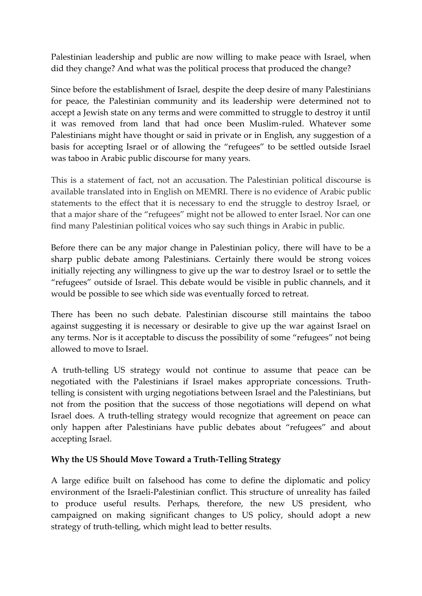Palestinian leadership and public are now willing to make peace with Israel, when did they change? And what was the political process that produced the change?

Since before the establishment of Israel, despite the deep desire of many Palestinians for peace, the Palestinian community and its leadership were determined not to accept a Jewish state on any terms and were committed to struggle to destroy it until it was removed from land that had once been Muslim-ruled. Whatever some Palestinians might have thought or said in private or in English, any suggestion of a basis for accepting Israel or of allowing the "refugees" to be settled outside Israel was taboo in Arabic public discourse for many years.

This is a statement of fact, not an accusation. The Palestinian political discourse is available translated into in English on MEMRI. There is no evidence of Arabic public statements to the effect that it is necessary to end the struggle to destroy Israel, or that a major share of the "refugees" might not be allowed to enter Israel. Nor can one find many Palestinian political voices who say such things in Arabic in public.

Before there can be any major change in Palestinian policy, there will have to be a sharp public debate among Palestinians. Certainly there would be strong voices initially rejecting any willingness to give up the war to destroy Israel or to settle the "refugees" outside of Israel. This debate would be visible in public channels, and it would be possible to see which side was eventually forced to retreat.

There has been no such debate. Palestinian discourse still maintains the taboo against suggesting it is necessary or desirable to give up the war against Israel on any terms. Nor is it acceptable to discuss the possibility of some "refugees" not being allowed to move to Israel.

A truth-telling US strategy would not continue to assume that peace can be negotiated with the Palestinians if Israel makes appropriate concessions. Truthtelling is consistent with urging negotiations between Israel and the Palestinians, but not from the position that the success of those negotiations will depend on what Israel does. A truth-telling strategy would recognize that agreement on peace can only happen after Palestinians have public debates about "refugees" and about accepting Israel.

#### **Why the US Should Move Toward a Truth-Telling Strategy**

A large edifice built on falsehood has come to define the diplomatic and policy environment of the Israeli-Palestinian conflict. This structure of unreality has failed to produce useful results. Perhaps, therefore, the new US president, who campaigned on making significant changes to US policy, should adopt a new strategy of truth-telling, which might lead to better results.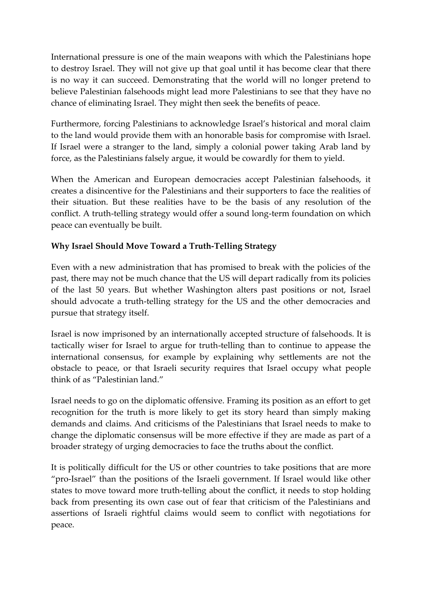International pressure is one of the main weapons with which the Palestinians hope to destroy Israel. They will not give up that goal until it has become clear that there is no way it can succeed. Demonstrating that the world will no longer pretend to believe Palestinian falsehoods might lead more Palestinians to see that they have no chance of eliminating Israel. They might then seek the benefits of peace.

Furthermore, forcing Palestinians to acknowledge Israel's historical and moral claim to the land would provide them with an honorable basis for compromise with Israel. If Israel were a stranger to the land, simply a colonial power taking Arab land by force, as the Palestinians falsely argue, it would be cowardly for them to yield.

When the American and European democracies accept Palestinian falsehoods, it creates a disincentive for the Palestinians and their supporters to face the realities of their situation. But these realities have to be the basis of any resolution of the conflict. A truth-telling strategy would offer a sound long-term foundation on which peace can eventually be built.

# **Why Israel Should Move Toward a Truth-Telling Strategy**

Even with a new administration that has promised to break with the policies of the past, there may not be much chance that the US will depart radically from its policies of the last 50 years. But whether Washington alters past positions or not, Israel should advocate a truth-telling strategy for the US and the other democracies and pursue that strategy itself.

Israel is now imprisoned by an internationally accepted structure of falsehoods. It is tactically wiser for Israel to argue for truth-telling than to continue to appease the international consensus, for example by explaining why settlements are not the obstacle to peace, or that Israeli security requires that Israel occupy what people think of as "Palestinian land."

Israel needs to go on the diplomatic offensive. Framing its position as an effort to get recognition for the truth is more likely to get its story heard than simply making demands and claims. And criticisms of the Palestinians that Israel needs to make to change the diplomatic consensus will be more effective if they are made as part of a broader strategy of urging democracies to face the truths about the conflict.

It is politically difficult for the US or other countries to take positions that are more "pro-Israel" than the positions of the Israeli government. If Israel would like other states to move toward more truth-telling about the conflict, it needs to stop holding back from presenting its own case out of fear that criticism of the Palestinians and assertions of Israeli rightful claims would seem to conflict with negotiations for peace.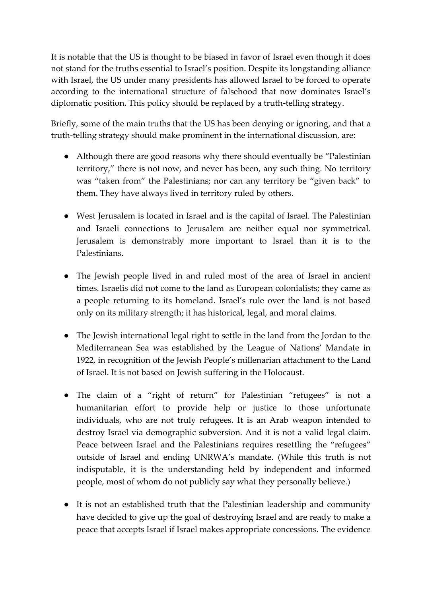It is notable that the US is thought to be biased in favor of Israel even though it does not stand for the truths essential to Israel's position. Despite its longstanding alliance with Israel, the US under many presidents has allowed Israel to be forced to operate according to the international structure of falsehood that now dominates Israel's diplomatic position. This policy should be replaced by a truth-telling strategy.

Briefly, some of the main truths that the US has been denying or ignoring, and that a truth-telling strategy should make prominent in the international discussion, are:

- Although there are good reasons why there should eventually be "Palestinian" territory," there is not now, and never has been, any such thing. No territory was "taken from" the Palestinians; nor can any territory be "given back" to them. They have always lived in territory ruled by others.
- West Jerusalem is located in Israel and is the capital of Israel. The Palestinian and Israeli connections to Jerusalem are neither equal nor symmetrical. Jerusalem is demonstrably more important to Israel than it is to the Palestinians.
- The Jewish people lived in and ruled most of the area of Israel in ancient times. Israelis did not come to the land as European colonialists; they came as a people returning to its homeland. Israel's rule over the land is not based only on its military strength; it has historical, legal, and moral claims.
- The Jewish international legal right to settle in the land from the Jordan to the Mediterranean Sea was established by the League of Nations' Mandate in 1922, in recognition of the Jewish People's millenarian attachment to the Land of Israel. It is not based on Jewish suffering in the Holocaust.
- The claim of a "right of return" for Palestinian "refugees" is not a humanitarian effort to provide help or justice to those unfortunate individuals, who are not truly refugees. It is an Arab weapon intended to destroy Israel via demographic subversion. And it is not a valid legal claim. Peace between Israel and the Palestinians requires resettling the "refugees" outside of Israel and ending UNRWA's mandate. (While this truth is not indisputable, it is the understanding held by independent and informed people, most of whom do not publicly say what they personally believe.)
- It is not an established truth that the Palestinian leadership and community have decided to give up the goal of destroying Israel and are ready to make a peace that accepts Israel if Israel makes appropriate concessions. The evidence